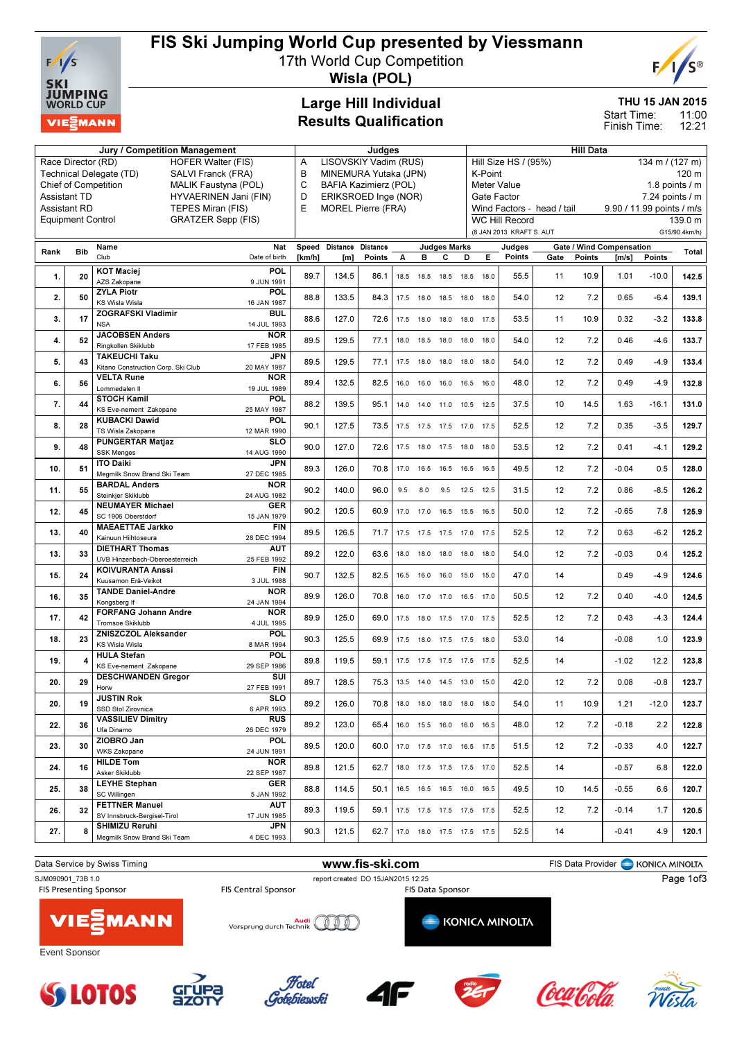

# FIS Ski Jumping World Cup presented by Viessmann

17th World Cup Competition



Wisla (POL)

### Large Hill Individual Results Qualification

#### THU 15 JAN 2015

11:00 12:21 Start Time: Finish Time:

|                          |            | <b>Jury / Competition Management</b>                          |                                          | Judges                         |                                                                   |                              |      |                              |                     | <b>Hill Data</b> |                                                   |                      |                   |        |                           |                          |                        |
|--------------------------|------------|---------------------------------------------------------------|------------------------------------------|--------------------------------|-------------------------------------------------------------------|------------------------------|------|------------------------------|---------------------|------------------|---------------------------------------------------|----------------------|-------------------|--------|---------------------------|--------------------------|------------------------|
| Race Director (RD)       |            |                                                               | <b>HOFER Walter (FIS)</b>                | Α                              |                                                                   | LISOVSKIY Vadim (RUS)        |      |                              |                     |                  |                                                   | Hill Size HS / (95%) |                   |        |                           | 134 m / (127 m)          |                        |
|                          |            | SALVI Franck (FRA)<br>Technical Delegate (TD)                 |                                          | B                              |                                                                   | MINEMURA Yutaka (JPN)        |      |                              |                     |                  | K-Point                                           |                      |                   |        |                           |                          | 120 m                  |
|                          |            | <b>Chief of Competition</b>                                   | <b>MALIK Faustyna (POL)</b>              | C                              |                                                                   | <b>BAFIA Kazimierz (POL)</b> |      |                              |                     |                  |                                                   | <b>Meter Value</b>   |                   |        |                           |                          | 1.8 points $\sqrt{}$ m |
| <b>Assistant TD</b>      |            |                                                               | HYVAERINEN Jani (FIN)                    | D                              | Gate Factor<br>ERIKSROED Inge (NOR)<br>Wind Factors - head / tail |                              |      |                              |                     |                  |                                                   |                      | 7.24 points / m   |        |                           |                          |                        |
| <b>Assistant RD</b>      |            | TEPES Miran (FIS)                                             |                                          | E<br><b>MOREL Pierre (FRA)</b> |                                                                   |                              |      |                              |                     |                  |                                                   |                      |                   |        | 9.90 / 11.99 points / m/s |                          |                        |
| <b>Equipment Control</b> |            | <b>GRATZER Sepp (FIS)</b>                                     |                                          |                                |                                                                   |                              |      |                              |                     |                  | <b>WC Hill Record</b><br>(8 JAN 2013 KRAFT S. AUT |                      |                   |        |                           | 139.0 m<br>G15/90.4km/h) |                        |
|                          |            | Name                                                          | Nat                                      |                                | Speed Distance Distance                                           |                              |      |                              | <b>Judges Marks</b> |                  |                                                   | Judges               |                   |        | Gate / Wind Compensation  |                          |                        |
| Rank                     | <b>Bib</b> | Club                                                          | Date of birth                            | [km/h]                         | [m]                                                               | Points                       | Α    | в                            | с                   | D                | Е                                                 | Points               | Gate              | Points | [m/s]                     | Points                   | Total                  |
| 1.                       | 20         | <b>KOT Maciej</b><br>AZS Zakopane                             | POL<br>9 JUN 1991                        | 89.7                           | 134.5                                                             | 86.1                         |      | 18.5 18.5 18.5 18.5          |                     |                  | 18.0                                              | 55.5                 | 11                | 10.9   | 1.01                      | $-10.0$                  | 142.5                  |
| 2.                       | 50         | <b>ZYLA Piotr</b><br><b>KS Wisla Wisla</b>                    | POL<br>16 JAN 1987                       | 88.8                           | 133.5                                                             | 84.3                         |      | 17.5 18.0 18.5 18.0 18.0     |                     |                  |                                                   | 54.0                 | 12                | 7.2    | 0.65                      | $-6.4$                   | 139.1                  |
| 3.                       | 17         | <b>ZOGRAFSKI Vladimir</b><br><b>NSA</b>                       | <b>BUL</b><br>14 JUL 1993                | 88.6                           | 127.0                                                             | 72.6                         |      | 17.5  18.0  18.0  18.0  17.5 |                     |                  |                                                   | 53.5                 | 11                | 10.9   | 0.32                      | $-3.2$                   | 133.8                  |
| 4.                       | 52         | <b>JACOBSEN Anders</b><br>Ringkollen Skiklubb                 | <b>NOR</b><br>17 FEB 1985                | 89.5                           | 129.5                                                             | 77.1                         |      | 18.0 18.5 18.0 18.0          |                     |                  | 18.0                                              | 54.0                 | 12                | 7.2    | 0.46                      | -4.6                     | 133.7                  |
| 5.                       | 43         | <b>TAKEUCHI Taku</b><br>Kitano Construction Corp. Ski Club    | <b>JPN</b><br>20 MAY 1987                | 89.5                           | 129.5                                                             | 77.1                         | 17.5 | 18.0                         | 18.0 18.0           |                  | 18.0                                              | 54.0                 | 12                | 7.2    | 0.49                      | $-4.9$                   | 133.4                  |
| 6.                       | 56         | <b>VELTA Rune</b>                                             | <b>NOR</b>                               | 89.4                           | 132.5                                                             | 82.5                         |      | 16.0 16.0 16.0 16.5          |                     |                  | 16.0                                              | 48.0                 | 12                | 7.2    | 0.49                      | $-4.9$                   | 132.8                  |
| 7.                       | 44         | Lommedalen II<br><b>STOCH Kamil</b><br>KS Eve-nement Zakopane | 19 JUL 1989<br><b>POL</b><br>25 MAY 1987 | 88.2                           | 139.5                                                             | 95.1                         | 14.0 | 14.0 11.0 10.5               |                     |                  | 12.5                                              | 37.5                 | 10                | 14.5   | 1.63                      | $-16.1$                  | 131.0                  |
| 8.                       | 28         | <b>KUBACKI Dawid</b><br>TS Wisla Zakopane                     | POL                                      | 90.1                           | 127.5                                                             | 73.5                         |      | 17.5 17.5 17.5 17.0          |                     |                  | 17.5                                              | 52.5                 | 12                | 7.2    | 0.35                      | $-3.5$                   | 129.7                  |
| 9.                       | 48         | <b>PUNGERTAR Matjaz</b><br><b>SSK Menges</b>                  | 12 MAR 1990<br>SLO<br>14 AUG 1990        | 90.0                           | 127.0                                                             | 72.6                         |      | 17.5 18.0 17.5 18.0          |                     |                  | 18.0                                              | 53.5                 | 12                | 7.2    | 0.41                      | $-4.1$                   | 129.2                  |
| 10.                      | 51         | <b>ITO Daiki</b><br>Megmilk Snow Brand Ski Team               | <b>JPN</b><br>27 DEC 1985                | 89.3                           | 126.0                                                             | 70.8                         |      | 17.0  16.5  16.5  16.5  16.5 |                     |                  |                                                   | 49.5                 | 12                | 7.2    | $-0.04$                   | 0.5                      | 128.0                  |
| 11.                      | 55         | <b>BARDAL Anders</b><br>Steinkjer Skiklubb                    | <b>NOR</b><br>24 AUG 1982                | 90.2                           | 140.0                                                             | 96.0                         | 9.5  | 8.0                          |                     | 9.5 12.5 12.5    |                                                   | 31.5                 | 12                | 7.2    | 0.86                      | $-8.5$                   | 126.2                  |
| 12.                      | 45         | <b>NEUMAYER Michael</b><br>SC 1906 Oberstdorf                 | <b>GER</b><br>15 JAN 1979                | 90.2                           | 120.5                                                             | 60.9                         |      | 17.0 17.0 16.5 15.5 16.5     |                     |                  |                                                   | 50.0                 | 12                | 7.2    | $-0.65$                   | 7.8                      | 125.9                  |
| 13.                      | 40         | <b>MAEAETTAE Jarkko</b><br>Kainuun Hiihtoseura                | <b>FIN</b><br>28 DEC 1994                | 89.5                           | 126.5                                                             | 71.7                         |      | 17.5 17.5 17.5 17.0          |                     |                  | 17.5                                              | 52.5                 | 12                | 7.2    | 0.63                      | -6.2                     | 125.2                  |
| 13.                      | 33         | <b>DIETHART Thomas</b><br>UVB Hinzenbach-Oberoesterreich      | <b>AUT</b><br>25 FEB 1992                | 89.2                           | 122.0                                                             | 63.6                         | 18.0 | 18.0                         | 18.0 18.0           |                  | 18.0                                              | 54.0                 | $12 \overline{ }$ | 7.2    | $-0.03$                   | 0.4                      | 125.2                  |
| 15.                      | 24         | <b>KOIVURANTA Anssi</b><br>Kuusamon Erä-Veikot                | <b>FIN</b>                               | 90.7                           | 132.5                                                             | 82.5                         | 16.5 | 16.0 16.0 15.0               |                     |                  | 15.0                                              | 47.0                 | 14                |        | 0.49                      | $-4.9$                   | 124.6                  |
| 16.                      | 35         | <b>TANDE Daniel-Andre</b><br>Kongsberg If                     | 3 JUL 1988<br><b>NOR</b><br>24 JAN 1994  | 89.9                           | 126.0                                                             | 70.8                         | 16.0 | 17.0                         | 17.0 16.5           |                  | 17.0                                              | 50.5                 | 12                | 7.2    | 0.40                      | $-4.0$                   | 124.5                  |
| 17.                      | 42         | <b>FORFANG Johann Andre</b><br><b>Tromsoe Skiklubb</b>        | <b>NOR</b>                               | 89.9                           | 125.0                                                             | 69.0                         |      | 17.5 18.0 17.5 17.0          |                     |                  | 17.5                                              | 52.5                 | 12                | 7.2    | 0.43                      | $-4.3$                   | 124.4                  |
| 18.                      | 23         | ZNISZCZOL Aleksander<br><b>KS Wisla Wisla</b>                 | 4 JUL 1995<br>POL<br>8 MAR 1994          | 90.3                           | 125.5                                                             | 69.9                         |      | 17.5 18.0 17.5 17.5 18.0     |                     |                  |                                                   | 53.0                 | 14                |        | $-0.08$                   | 1.0                      | 123.9                  |
| 19.                      | 4          | <b>HULA Stefan</b><br>KS Eve-nement Zakopane                  | POL<br>29 SEP 1986                       | 89.8                           | 119.5                                                             | 59.1                         |      | 17.5 17.5 17.5 17.5 17.5     |                     |                  |                                                   | 52.5                 | 14                |        | $-1.02$                   | 12.2                     | 123.8                  |
| 20.                      | 29         | <b>DESCHWANDEN Gregor</b>                                     | SUI<br>27 FEB 1991                       | 89.7                           | 128.5                                                             | 75.3                         |      | 13.5 14.0 14.5 13.0 15.0     |                     |                  |                                                   | 42.0                 | 12                | 7.2    | 0.08                      | $-0.8$                   | 123.7                  |
| 20.                      | 19         | Horw<br><b>JUSTIN Rok</b><br>SSD Stol Zirovnica               | <b>SLO</b><br>6 APR 1993                 | 89.2                           | 126.0                                                             | 70.8                         |      | 18.0 18.0 18.0 18.0 18.0     |                     |                  |                                                   | 54.0                 | 11                | 10.9   | 1.21                      | $-12.0$                  | 123.7                  |
| 22.                      | 36         | <b>VASSILIEV Dimitry</b>                                      | <b>RUS</b>                               | 89.2                           | 123.0                                                             | 65.4                         |      | 16.0  15.5  16.0  16.0  16.5 |                     |                  |                                                   | 48.0                 | 12                | 7.2    | $-0.18$                   | 2.2                      | 122.8                  |
| 23.                      | 30         | Ufa Dinamo<br>ZIOBRO Jan                                      | 26 DEC 1979<br><b>POL</b>                | 89.5                           | 120.0                                                             | 60.0                         |      | 17.0 17.5 17.0 16.5 17.5     |                     |                  |                                                   | 51.5                 | 12                | 7.2    | $-0.33$                   | 4.0                      | 122.7                  |
| 24.                      | 16         | <b>WKS Zakopane</b><br><b>HILDE Tom</b>                       | 24 JUN 1991<br><b>NOR</b>                | 89.8                           | 121.5                                                             | 62.7                         |      | 18.0 17.5 17.5 17.5 17.0     |                     |                  |                                                   | 52.5                 | 14                |        | $-0.57$                   | 6.8                      | 122.0                  |
| 25.                      | 38         | Asker Skiklubb<br><b>LEYHE Stephan</b>                        | 22 SEP 1987<br><b>GER</b>                | 88.8                           | 114.5                                                             | 50.1                         |      | 16.5 16.5 16.5 16.0 16.5     |                     |                  |                                                   | 49.5                 | 10                | 14.5   | $-0.55$                   | 6.6                      | 120.7                  |
| 26.                      | 32         | SC Willingen<br><b>FETTNER Manuel</b>                         | 5 JAN 1992<br><b>AUT</b>                 | 89.3                           | 119.5                                                             | 59.1                         |      | 17.5 17.5 17.5 17.5 17.5     |                     |                  |                                                   | 52.5                 | 12                | 7.2    | $-0.14$                   | 1.7                      | 120.5                  |
| 27.                      | 8          | SV Innsbruck-Bergisel-Tirol<br>SHIMIZU Reruhi                 | 17 JUN 1985<br><b>JPN</b>                | 90.3                           | 121.5                                                             | 62.7                         |      | 17.0 18.0 17.5 17.5 17.5     |                     |                  |                                                   | 52.5                 | 14                |        | $-0.41$                   | 4.9                      | 120.1                  |
|                          |            | Megmilk Snow Brand Ski Team                                   | 4 DEC 1993                               |                                |                                                                   |                              |      |                              |                     |                  |                                                   |                      |                   |        |                           |                          |                        |















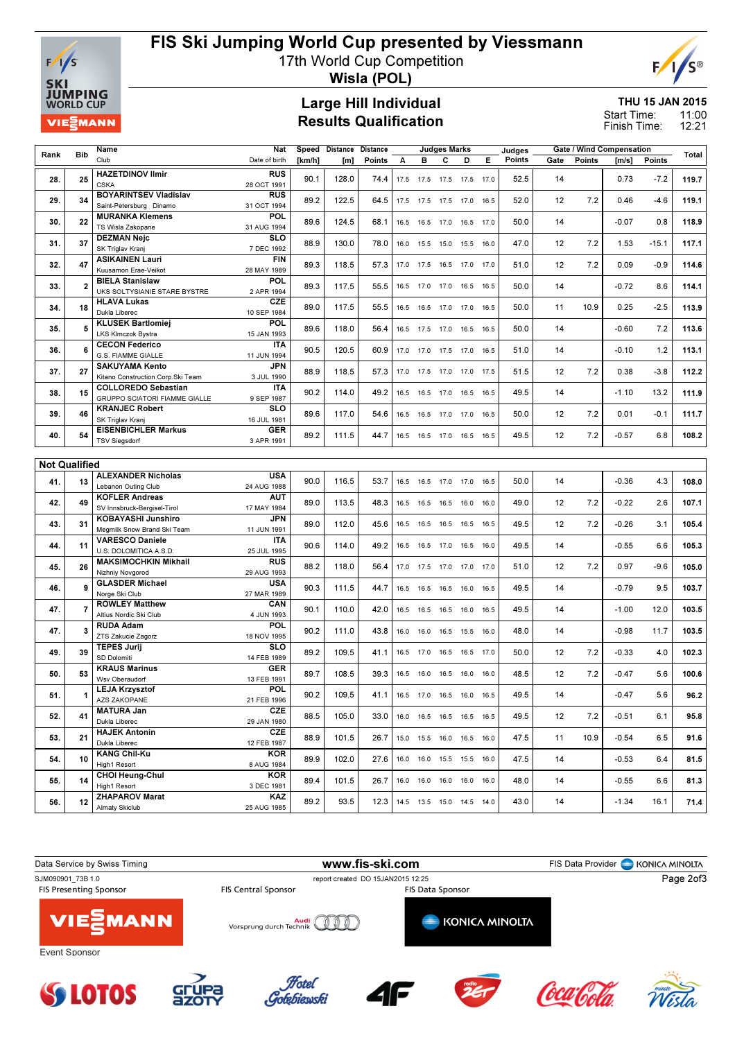

# FIS Ski Jumping World Cup presented by Viessmann

17th World Cup Competition



Wisla (POL)

#### Large Hill Individual Results Qualification

THU 15 JAN 2015

11:00 12:21 Start Time: Finish Time:

|      |                      | Name                                    | Nat                       | Speed  | Distance | <b>Distance</b> |      |                | <b>Judges Marks</b> |                              |      | Judges | <b>Gate / Wind Compensation</b> |        |         |         |       |
|------|----------------------|-----------------------------------------|---------------------------|--------|----------|-----------------|------|----------------|---------------------|------------------------------|------|--------|---------------------------------|--------|---------|---------|-------|
| Rank | <b>Bib</b>           | Club                                    | Date of birth             | [km/h] | [m]      | Points          | А    | в              | C                   | D                            | Е    | Points | Gate                            | Points | [m/s]   | Points  | Total |
| 28.  | 25                   | <b>HAZETDINOV Ilmir</b><br><b>CSKA</b>  | <b>RUS</b><br>28 OCT 1991 | 90.1   | 128.0    | 74.4            | 17.5 | 17.5 17.5      |                     | 17.5                         | 17.0 | 52.5   | 14                              |        | 0.73    | $-7.2$  | 119.7 |
|      |                      | <b>BOYARINTSEV Vladislav</b>            | <b>RUS</b>                |        |          |                 |      |                |                     |                              |      |        |                                 |        |         |         |       |
| 29.  | 34                   | Saint-Petersburg Dinamo                 | 31 OCT 1994               | 89.2   | 122.5    | 64.5            |      |                |                     | 17.5 17.5 17.5 17.0          | 16.5 | 52.0   | 12                              | 7.2    | 0.46    | $-4.6$  | 119.1 |
|      |                      | <b>MURANKA Klemens</b>                  | POL                       |        |          |                 |      |                |                     |                              |      |        |                                 |        |         |         |       |
| 30.  | 22                   | TS Wisla Zakopane                       | 31 AUG 1994               | 89.6   | 124.5    | 68.1            |      | 16.5 16.5 17.0 |                     | 16.5 17.0                    |      | 50.0   | 14                              |        | $-0.07$ | 0.8     | 118.9 |
|      |                      | <b>DEZMAN Nejc</b>                      | SLO                       |        |          |                 |      |                |                     |                              |      |        |                                 |        |         |         |       |
| 31.  | 37                   | SK Triglav Kranj                        | 7 DEC 1992                | 88.9   | 130.0    | 78.0            |      |                |                     | 16.0  15.5  15.0  15.5  16.0 |      | 47.0   | 12                              | 7.2    | 1.53    | $-15.1$ | 117.1 |
|      |                      | <b>ASIKAINEN Lauri</b>                  | <b>FIN</b>                |        |          |                 |      |                |                     |                              |      |        |                                 |        |         |         |       |
| 32.  | 47                   | Kuusamon Erae-Veikot                    | 28 MAY 1989               | 89.3   | 118.5    | 57.3            |      |                |                     | 17.0  17.5  16.5  17.0  17.0 |      | 51.0   | 12                              | 7.2    | 0.09    | $-0.9$  | 114.6 |
|      |                      | <b>BIELA Stanislaw</b>                  | POL                       |        |          |                 |      |                |                     |                              |      |        |                                 |        |         |         |       |
| 33.  | $\mathbf{2}$         | UKS SOLTYSIANIE STARE BYSTRE            | 2 APR 1994                | 89.3   | 117.5    | 55.5            |      | 16.5 17.0 17.0 |                     | 16.5 16.5                    |      | 50.0   | 14                              |        | $-0.72$ | 8.6     | 114.1 |
|      |                      | <b>HLAVA Lukas</b>                      | <b>CZE</b>                |        |          |                 |      |                |                     |                              |      |        |                                 |        |         |         |       |
| 34.  | 18                   | Dukla Liberec                           | 10 SEP 1984               | 89.0   | 117.5    | 55.5            |      | 16.5 16.5 17.0 |                     | 17.0                         | 16.5 | 50.0   | 11                              | 10.9   | 0.25    | $-2.5$  | 113.9 |
|      |                      | <b>KLUSEK Bartlomiei</b>                | POL                       |        |          |                 |      |                |                     |                              |      |        |                                 |        |         |         |       |
| 35.  |                      | LKS Klmczok Bystra                      | 15 JAN 1993               | 89.6   | 118.0    | 56.4            |      | 16.5 17.5 17.0 |                     | 16.5                         | 16.5 | 50.0   | 14                              |        | $-0.60$ | 7.2     | 113.6 |
|      | 6                    | <b>CECON Federico</b>                   | <b>ITA</b>                | 90.5   |          |                 |      |                |                     |                              |      |        | 14                              |        |         |         | 113.1 |
| 36.  |                      | G.S. FIAMME GIALLE                      | 11 JUN 1994               |        | 120.5    | 60.9            | 17.0 | 17.0 17.5      |                     | 17.0                         | 16.5 | 51.0   |                                 |        | $-0.10$ | 1.2     |       |
| 37.  | 27                   | <b>SAKUYAMA Kento</b>                   | <b>JPN</b>                | 88.9   | 118.5    | 57.3            | 17.0 | 17.5 17.0      |                     | 17.0                         | 17.5 | 51.5   | 12                              | 7.2    | 0.38    | $-3.8$  | 112.2 |
|      |                      | Kitano Construction Corp.Ski Team       | 3 JUL 1990                |        |          |                 |      |                |                     |                              |      |        |                                 |        |         |         |       |
| 38.  | 15                   | <b>COLLOREDO Sebastian</b>              | <b>ITA</b>                | 90.2   | 114.0    | 49.2            |      | 16.5 16.5 17.0 |                     | 16.5 16.5                    |      | 49.5   | 14                              |        | $-1.10$ | 13.2    | 111.9 |
|      |                      | GRUPPO SCIATORI FIAMME GIALLE           | 9 SEP 1987                |        |          |                 |      |                |                     |                              |      |        |                                 |        |         |         |       |
| 39.  | 46                   | <b>KRANJEC Robert</b>                   | SLO                       | 89.6   | 117.0    | 54.6            |      | 16.5 16.5 17.0 |                     | 17.0 16.5                    |      | 50.0   | 12                              | 7.2    | 0.01    | $-0.1$  | 111.7 |
|      |                      | SK Triglav Kranj                        | 16 JUL 1981               |        |          |                 |      |                |                     |                              |      |        |                                 |        |         |         |       |
| 40.  | 54                   | <b>EISENBICHLER Markus</b>              | <b>GER</b>                | 89.2   | 111.5    | 44.7            |      |                |                     | 16.5 16.5 17.0 16.5 16.5     |      | 49.5   | 12                              | 7.2    | $-0.57$ | 6.8     | 108.2 |
|      |                      | <b>TSV Siegsdorf</b>                    | 3 APR 1991                |        |          |                 |      |                |                     |                              |      |        |                                 |        |         |         |       |
|      |                      |                                         |                           |        |          |                 |      |                |                     |                              |      |        |                                 |        |         |         |       |
|      | <b>Not Qualified</b> |                                         |                           |        |          |                 |      |                |                     |                              |      |        |                                 |        |         |         |       |
| 41.  | 13                   | <b>ALEXANDER Nicholas</b>               | <b>USA</b>                | 90.0   | 116.5    | 53.7            |      | 16.5 16.5 17.0 |                     | 17.0 16.5                    |      | 50.0   | 14                              |        | $-0.36$ | 4.3     | 108.0 |
|      |                      | Lebanon Outing Club                     | 24 AUG 1988               |        |          |                 |      |                |                     |                              |      |        |                                 |        |         |         |       |
| 42.  | 49                   | <b>KOFLER Andreas</b>                   | <b>AUT</b>                | 89.0   | 113.5    | 48.3            |      | 16.5 16.5 16.5 |                     | 16.0 16.0                    |      | 49.0   | 12                              | 7.2    | $-0.22$ | 2.6     | 107.1 |
|      |                      | SV Innsbruck-Bergisel-Tirol             | 17 MAY 1984               |        |          |                 |      |                |                     |                              |      |        |                                 |        |         |         |       |
| 43.  | 31                   | KOBAYASHI Junshiro                      | <b>JPN</b>                | 89.0   | 112.0    | 45.6            |      |                |                     | 16.5 16.5 16.5 16.5 16.5     |      | 49.5   | 12                              | 7.2    | $-0.26$ | 3.1     | 105.4 |
|      |                      | Megmilk Snow Brand Ski Team             | 11 JUN 1991               |        |          |                 |      |                |                     |                              |      |        |                                 |        |         |         |       |
| 44.  | 11                   | <b>VARESCO Daniele</b>                  | <b>ITA</b>                | 90.6   | 114.0    | 49.2            | 16.5 | 16.5 17.0      |                     | 16.5                         | 16.0 | 49.5   | 14                              |        | $-0.55$ | 6.6     | 105.3 |
|      |                      | U.S. DOLOMITICA A.S.D.                  | 25 JUL 1995               |        |          |                 |      |                |                     |                              |      |        |                                 |        |         |         |       |
| 45.  | 26                   | <b>MAKSIMOCHKIN Mikhail</b>             | <b>RUS</b>                | 88.2   | 118.0    | 56.4            |      | 17.0 17.5 17.0 |                     | 17.0                         | 17.0 | 51.0   | 12                              | 7.2    | 0.97    | $-9.6$  | 105.0 |
|      |                      | Nizhniy Novgorod                        | 29 AUG 1993               |        |          |                 |      |                |                     |                              |      |        |                                 |        |         |         |       |
| 46.  |                      | <b>GLASDER Michael</b>                  | <b>USA</b>                | 90.3   | 111.5    | 44.7            | 16.5 |                | 16.5 16.5           | 16.0                         | 16.5 | 49.5   | 14                              |        | $-0.79$ | 9.5     | 103.7 |
|      |                      | Norge Ski Club<br><b>ROWLEY Matthew</b> | 27 MAR 1989<br>CAN        |        |          |                 |      |                |                     |                              |      |        |                                 |        |         |         |       |
| 47.  |                      | Altius Nordic Ski Club                  | 4 JUN 1993                | 90.1   | 110.0    | 42.0            | 16.5 | 16.5 16.5      |                     | 16.0                         | 16.5 | 49.5   | 14                              |        | $-1.00$ | 12.0    | 103.5 |
|      |                      | <b>RUDA Adam</b>                        | <b>POL</b>                |        |          |                 |      |                |                     |                              |      |        |                                 |        |         |         |       |
| 47.  |                      | ZTS Zakucie Zagorz                      | 18 NOV 1995               | 90.2   | 111.0    | 43.8            | 16.0 | 16.0           | 16.5                | 15.5                         | 16.0 | 48.0   | 14                              |        | $-0.98$ | 11.7    | 103.5 |
|      |                      | <b>TEPES Jurij</b>                      | SLO                       |        |          |                 |      |                |                     |                              |      |        |                                 |        |         |         |       |
| 49.  | 39                   | SD Dolomiti                             | 14 FEB 1989               | 89.2   | 109.5    | 41.1            |      | 16.5 17.0 16.5 |                     | 16.5 17.0                    |      | 50.0   | 12                              | 7.2    | $-0.33$ | 4.0     | 102.3 |
|      |                      | <b>KRAUS Marinus</b>                    | <b>GER</b>                |        |          |                 |      |                |                     |                              |      |        |                                 |        |         |         |       |
| 50.  | 53                   | Wsv Oberaudorf                          | 13 FEB 1991               | 89.7   | 108.5    | 39.3            |      | 16.5 16.0 16.5 |                     | 16.0                         | 16.0 | 48.5   | 12                              | 7.2    | $-0.47$ | 5.6     | 100.6 |
| 51.  | 1                    | <b>LEJA Krzysztof</b>                   | <b>POL</b>                | 90.2   | 109.5    | 41.1            |      | 16.5 17.0 16.5 |                     |                              | 16.5 | 49.5   | 14                              |        | $-0.47$ | 5.6     | 96.2  |
|      |                      | AZS ZAKOPANE                            | 21 FEB 1996               |        |          |                 |      |                |                     | 16.0                         |      |        |                                 |        |         |         |       |
| 52.  | 41                   | <b>MATURA Jan</b>                       | <b>CZE</b>                | 88.5   | 105.0    | 33.0            |      |                |                     | 16.0  16.5  16.5  16.5  16.5 |      | 49.5   | 12                              | 7.2    | $-0.51$ | 6.1     | 95.8  |
|      |                      | Dukla Liberec                           | 29 JAN 1980               |        |          |                 |      |                |                     |                              |      |        |                                 |        |         |         |       |
| 53.  | 21                   | <b>HAJEK Antonin</b>                    | <b>CZE</b>                | 88.9   | 101.5    | 26.7            |      |                |                     | 15.0  15.5  16.0  16.5  16.0 |      | 47.5   | 11                              | 10.9   | $-0.54$ | 6.5     | 91.6  |
|      |                      | Dukla Liberec                           | 12 FEB 1987               |        |          |                 |      |                |                     |                              |      |        |                                 |        |         |         |       |
| 54.  | 10                   | <b>KANG Chil-Ku</b>                     | <b>KOR</b>                | 89.9   | 102.0    | 27.6            |      |                |                     | 16.0  16.0  15.5  15.5  16.0 |      | 47.5   | 14                              |        | $-0.53$ | 6.4     | 81.5  |
|      |                      | High1 Resort                            | 8 AUG 1984                |        |          |                 |      |                |                     |                              |      |        |                                 |        |         |         |       |
| 55.  | 14                   | <b>CHOI Heung-Chul</b>                  | <b>KOR</b>                | 89.4   | 101.5    | 26.7            |      |                |                     | 16.0 16.0 16.0 16.0 16.0     |      | 48.0   | 14                              |        | $-0.55$ | 6.6     | 81.3  |
|      |                      | High1 Resort                            | 3 DEC 1981                |        |          |                 |      |                |                     |                              |      |        |                                 |        |         |         |       |
| 56.  | 12                   | <b>ZHAPAROV Marat</b>                   | KAZ                       | 89.2   | 93.5     | 12.3            |      |                |                     | 14.5 13.5 15.0 14.5 14.0     |      | 43.0   | 14                              |        | $-1.34$ | 16.1    | 71.4  |
|      |                      | Almaty Skiclub                          | 25 AUG 1985               |        |          |                 |      |                |                     |                              |      |        |                                 |        |         |         |       |